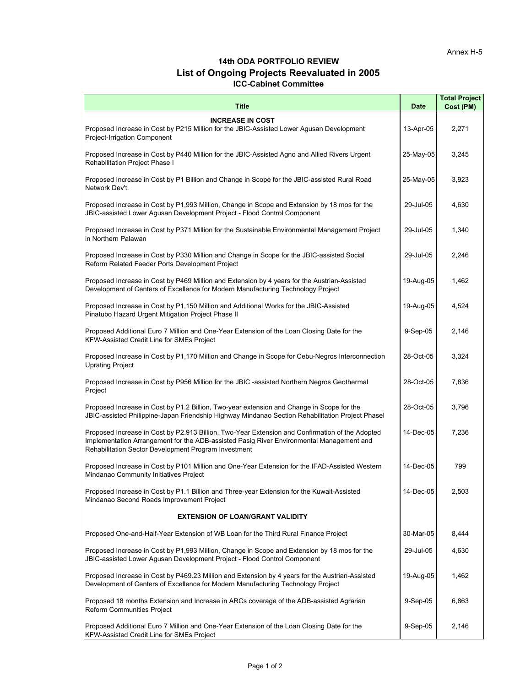## **14th ODA PORTFOLIO REVIEW List of Ongoing Projects Reevaluated in 2005 ICC-Cabinet Committee**

| Title                                                                                                                                                                                                                                               | <b>Date</b> | <b>Total Project</b><br>Cost (PM) |
|-----------------------------------------------------------------------------------------------------------------------------------------------------------------------------------------------------------------------------------------------------|-------------|-----------------------------------|
|                                                                                                                                                                                                                                                     |             |                                   |
| <b>INCREASE IN COST</b><br>Proposed Increase in Cost by P215 Million for the JBIC-Assisted Lower Agusan Development<br>Project-Irrigation Component                                                                                                 | 13-Apr-05   | 2,271                             |
| Proposed Increase in Cost by P440 Million for the JBIC-Assisted Agno and Allied Rivers Urgent<br>Rehabilitation Project Phase I                                                                                                                     | 25-May-05   | 3,245                             |
| Proposed Increase in Cost by P1 Billion and Change in Scope for the JBIC-assisted Rural Road<br>Network Dev't.                                                                                                                                      | 25-May-05   | 3,923                             |
| Proposed Increase in Cost by P1,993 Million, Change in Scope and Extension by 18 mos for the<br>JBIC-assisted Lower Agusan Development Project - Flood Control Component                                                                            | 29-Jul-05   | 4,630                             |
| Proposed Increase in Cost by P371 Million for the Sustainable Environmental Management Project<br>in Northern Palawan                                                                                                                               | 29-Jul-05   | 1,340                             |
| Proposed Increase in Cost by P330 Million and Change in Scope for the JBIC-assisted Social<br>Reform Related Feeder Ports Development Project                                                                                                       | 29-Jul-05   | 2,246                             |
| Proposed Increase in Cost by P469 Million and Extension by 4 years for the Austrian-Assisted<br>Development of Centers of Excellence for Modern Manufacturing Technology Project                                                                    | 19-Aug-05   | 1,462                             |
| Proposed Increase in Cost by P1,150 Million and Additional Works for the JBIC-Assisted<br>Pinatubo Hazard Urgent Mitigation Project Phase II                                                                                                        | 19-Aug-05   | 4,524                             |
| Proposed Additional Euro 7 Million and One-Year Extension of the Loan Closing Date for the<br>KFW-Assisted Credit Line for SMEs Project                                                                                                             | 9-Sep-05    | 2,146                             |
| Proposed Increase in Cost by P1,170 Million and Change in Scope for Cebu-Negros Interconnection<br><b>Uprating Project</b>                                                                                                                          | 28-Oct-05   | 3,324                             |
| Proposed Increase in Cost by P956 Million for the JBIC -assisted Northern Negros Geothermal<br>Project                                                                                                                                              | 28-Oct-05   | 7,836                             |
| Proposed Increase in Cost by P1.2 Billion, Two-year extension and Change in Scope for the<br>JBIC-assisted Philippine-Japan Friendship Highway Mindanao Section Rehabilitation Project Phasel                                                       | 28-Oct-05   | 3,796                             |
| Proposed Increase in Cost by P2.913 Billion, Two-Year Extension and Confirmation of the Adopted<br>Implementation Arrangement for the ADB-assisted Pasig River Environmental Management and<br>Rehabilitation Sector Development Program Investment | 14-Dec-05   | 7,236                             |
| Proposed Increase in Cost by P101 Million and One-Year Extension for the IFAD-Assisted Western<br>Mindanao Community Initiatives Project                                                                                                            | 14-Dec-05   | 799                               |
| Proposed Increase in Cost by P1.1 Billion and Three-year Extension for the Kuwait-Assisted<br>Mindanao Second Roads Improvement Project                                                                                                             | 14-Dec-05   | 2,503                             |
| <b>EXTENSION OF LOAN/GRANT VALIDITY</b>                                                                                                                                                                                                             |             |                                   |
| Proposed One-and-Half-Year Extension of WB Loan for the Third Rural Finance Project                                                                                                                                                                 | 30-Mar-05   | 8,444                             |
| Proposed Increase in Cost by P1,993 Million, Change in Scope and Extension by 18 mos for the<br>JBIC-assisted Lower Aqusan Development Project - Flood Control Component                                                                            | 29-Jul-05   | 4,630                             |
| Proposed Increase in Cost by P469.23 Million and Extension by 4 years for the Austrian-Assisted<br>Development of Centers of Excellence for Modern Manufacturing Technology Project                                                                 | 19-Aug-05   | 1,462                             |
| Proposed 18 months Extension and Increase in ARCs coverage of the ADB-assisted Agrarian<br>Reform Communities Project                                                                                                                               | 9-Sep-05    | 6,863                             |
| Proposed Additional Euro 7 Million and One-Year Extension of the Loan Closing Date for the<br>KFW-Assisted Credit Line for SMEs Project                                                                                                             | 9-Sep-05    | 2,146                             |